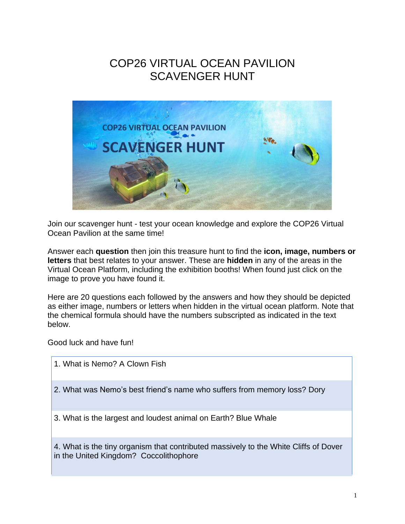## COP26 VIRTUAL OCEAN PAVILION SCAVENGER HUNT



Join our scavenger hunt - test your ocean knowledge and explore the COP26 Virtual Ocean Pavilion at the same time!

Answer each **question** then join this treasure hunt to find the **icon, image, numbers or letters** that best relates to your answer. These are **hidden** in any of the areas in the Virtual Ocean Platform, including the exhibition booths! When found just click on the image to prove you have found it.

Here are 20 questions each followed by the answers and how they should be depicted as either image, numbers or letters when hidden in the virtual ocean platform. Note that the chemical formula should have the numbers subscripted as indicated in the text below.

Good luck and have fun!

1. What is Nemo? A Clown Fish 2. What was Nemo's best friend's name who suffers from memory loss? Dory 3. What is the largest and loudest animal on Earth? Blue Whale 4. What is the tiny organism that contributed massively to the White Cliffs of Dover in the United Kingdom? Coccolithophore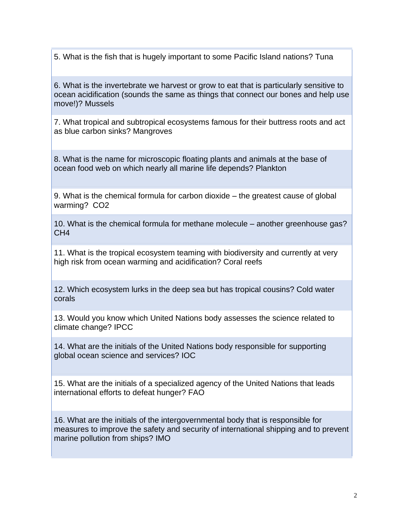5. What is the fish that is hugely important to some Pacific Island nations? Tuna

6. What is the invertebrate we harvest or grow to eat that is particularly sensitive to ocean acidification (sounds the same as things that connect our bones and help use move!)? Mussels

7. What tropical and subtropical ecosystems famous for their buttress roots and act as blue carbon sinks? Mangroves

8. What is the name for microscopic floating plants and animals at the base of ocean food web on which nearly all marine life depends? Plankton

9. What is the chemical formula for carbon dioxide – the greatest cause of global warming? CO2

10. What is the chemical formula for methane molecule – another greenhouse gas? CH4

11. What is the tropical ecosystem teaming with biodiversity and currently at very high risk from ocean warming and acidification? Coral reefs

12. Which ecosystem lurks in the deep sea but has tropical cousins? Cold water corals

13. Would you know which United Nations body assesses the science related to climate change? IPCC

14. What are the initials of the United Nations body responsible for supporting global ocean science and services? IOC

15. What are the initials of a specialized agency of the United Nations that leads international efforts to defeat hunger? FAO

16. What are the initials of the intergovernmental body that is responsible for measures to improve the safety and security of international shipping and to prevent marine pollution from ships? IMO